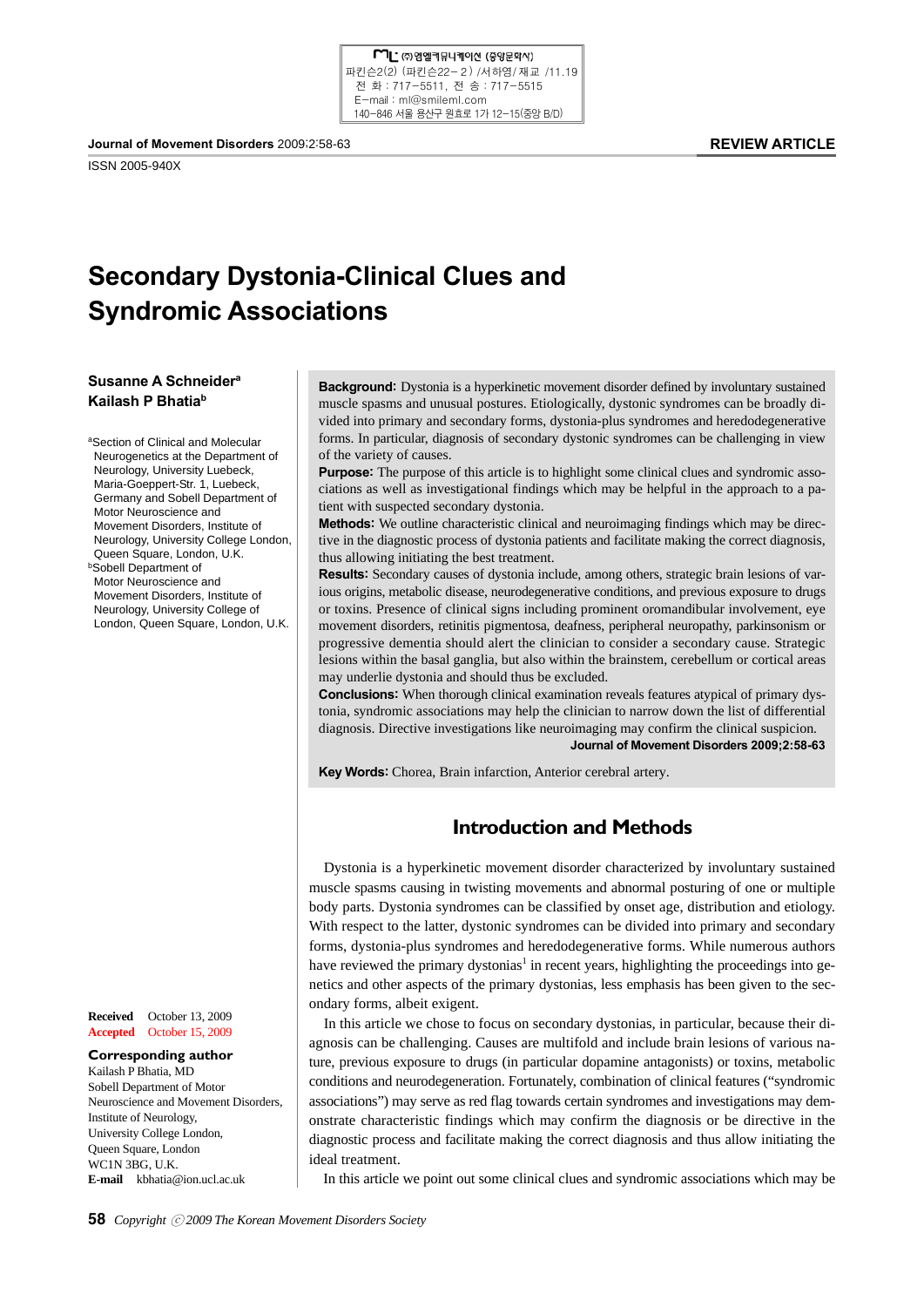

ISSN 2005-940X

#### **REVIEW ARTICLE**

# **Secondary Dystonia-Clinical Clues and Syndromic Associations**

## **Susanne A Schneidera Kailash P Bhatiab**

aSection of Clinical and Molecular Neurogenetics at the Department of Neurology, University Luebeck, Maria-Goeppert-Str. 1, Luebeck, Germany and Sobell Department of Motor Neuroscience and Movement Disorders, Institute of Neurology, University College London, Queen Square, London, U.K. **bSobell Department of**  Motor Neuroscience and Movement Disorders, Institute of Neurology, University College of London, Queen Square, London, U.K.

**Received** October 13, 2009 **Accepted** October 15, 2009

#### **Corresponding author** Kailash P Bhatia, MD Sobell Department of Motor Neuroscience and Movement Disorders, Institute of Neurology, University College London, Queen Square, London WC1N 3BG, U.K. **E-mail** kbhatia@ion.ucl.ac.uk

**Background:** Dystonia is a hyperkinetic movement disorder defined by involuntary sustained muscle spasms and unusual postures. Etiologically, dystonic syndromes can be broadly divided into primary and secondary forms, dystonia-plus syndromes and heredodegenerative forms. In particular, diagnosis of secondary dystonic syndromes can be challenging in view of the variety of causes.

**Purpose:** The purpose of this article is to highlight some clinical clues and syndromic associations as well as investigational findings which may be helpful in the approach to a patient with suspected secondary dystonia.

**Methods:** We outline characteristic clinical and neuroimaging findings which may be directive in the diagnostic process of dystonia patients and facilitate making the correct diagnosis, thus allowing initiating the best treatment.

**Results:** Secondary causes of dystonia include, among others, strategic brain lesions of various origins, metabolic disease, neurodegenerative conditions, and previous exposure to drugs or toxins. Presence of clinical signs including prominent oromandibular involvement, eye movement disorders, retinitis pigmentosa, deafness, peripheral neuropathy, parkinsonism or progressive dementia should alert the clinician to consider a secondary cause. Strategic lesions within the basal ganglia, but also within the brainstem, cerebellum or cortical areas may underlie dystonia and should thus be excluded.

**Conclusions:** When thorough clinical examination reveals features atypical of primary dystonia, syndromic associations may help the clinician to narrow down the list of differential diagnosis. Directive investigations like neuroimaging may confirm the clinical suspicion. **Journal of Movement Disorders 2009;2:58-63**

**Key Words:** Chorea, Brain infarction, Anterior cerebral artery.

# **Introduction and Methods**

Dystonia is a hyperkinetic movement disorder characterized by involuntary sustained muscle spasms causing in twisting movements and abnormal posturing of one or multiple body parts. Dystonia syndromes can be classified by onset age, distribution and etiology. With respect to the latter, dystonic syndromes can be divided into primary and secondary forms, dystonia-plus syndromes and heredodegenerative forms. While numerous authors have reviewed the primary dystonias<sup>1</sup> in recent years, highlighting the proceedings into genetics and other aspects of the primary dystonias, less emphasis has been given to the secondary forms, albeit exigent.

In this article we chose to focus on secondary dystonias, in particular, because their diagnosis can be challenging. Causes are multifold and include brain lesions of various nature, previous exposure to drugs (in particular dopamine antagonists) or toxins, metabolic conditions and neurodegeneration. Fortunately, combination of clinical features ("syndromic associations") may serve as red flag towards certain syndromes and investigations may demonstrate characteristic findings which may confirm the diagnosis or be directive in the diagnostic process and facilitate making the correct diagnosis and thus allow initiating the ideal treatment.

In this article we point out some clinical clues and syndromic associations which may be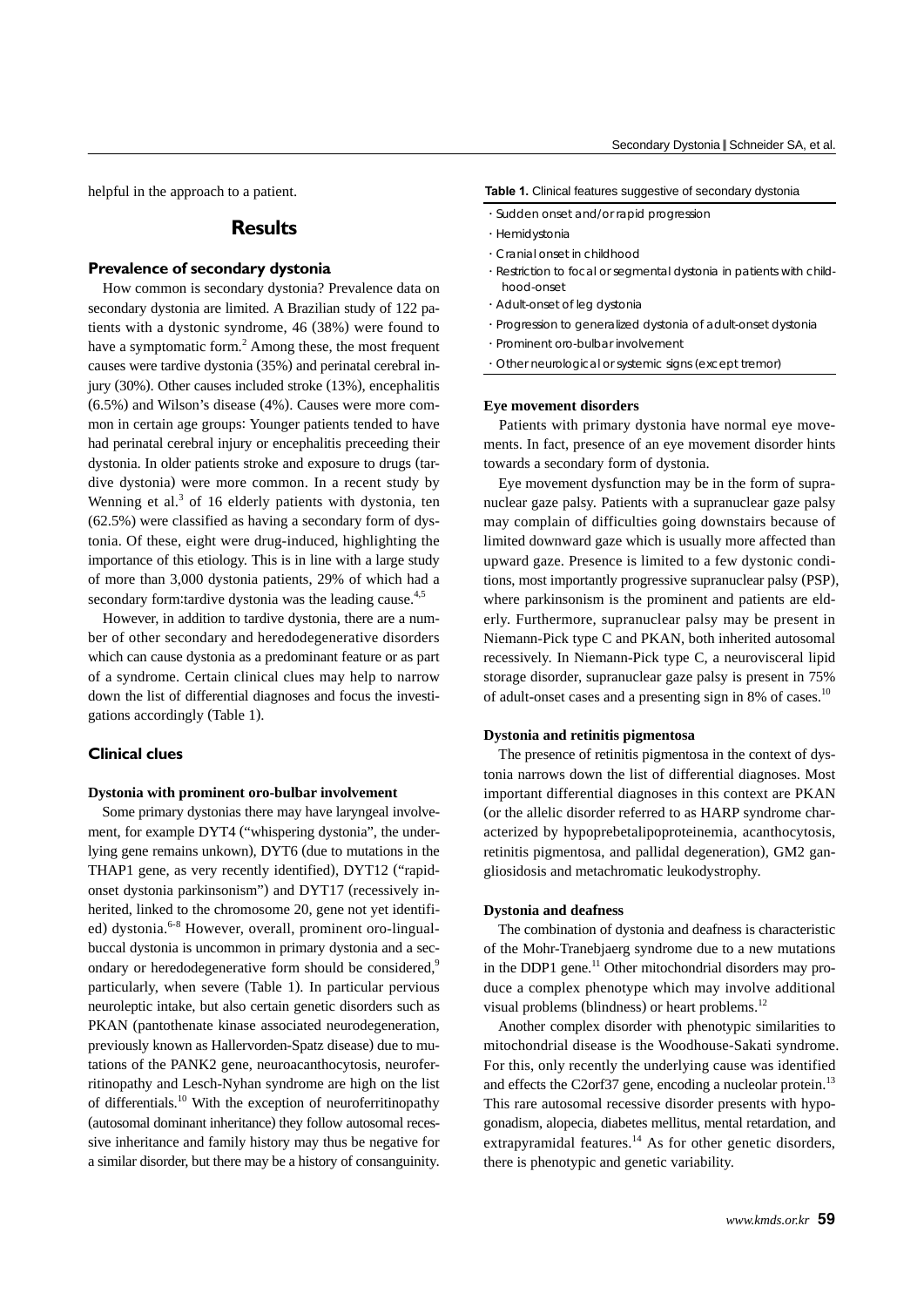helpful in the approach to a patient.

# **Results**

### **Prevalence of secondary dystonia**

How common is secondary dystonia? Prevalence data on secondary dystonia are limited. A Brazilian study of 122 patients with a dystonic syndrome, 46 (38%) were found to have a symptomatic form. $^2$  Among these, the most frequent causes were tardive dystonia (35%) and perinatal cerebral injury (30%). Other causes included stroke (13%), encephalitis (6.5%) and Wilson's disease (4%). Causes were more common in certain age groups: Younger patients tended to have had perinatal cerebral injury or encephalitis preceeding their dystonia. In older patients stroke and exposure to drugs (tardive dystonia) were more common. In a recent study by Wenning et al. $3$  of 16 elderly patients with dystonia, ten (62.5%) were classified as having a secondary form of dystonia. Of these, eight were drug-induced, highlighting the importance of this etiology. This is in line with a large study of more than 3,000 dystonia patients, 29% of which had a secondary form: tardive dystonia was the leading cause.<sup>4,5</sup>

However, in addition to tardive dystonia, there are a number of other secondary and heredodegenerative disorders which can cause dystonia as a predominant feature or as part of a syndrome. Certain clinical clues may help to narrow down the list of differential diagnoses and focus the investigations accordingly (Table 1).

### **Clinical clues**

#### **Dystonia with prominent oro-bulbar involvement**

Some primary dystonias there may have laryngeal involvement, for example DYT4 ("whispering dystonia", the underlying gene remains unkown), DYT6 (due to mutations in the THAP1 gene, as very recently identified), DYT12 ("rapidonset dystonia parkinsonism") and DYT17 (recessively inherited, linked to the chromosome 20, gene not yet identified) dystonia.<sup>6-8</sup> However, overall, prominent oro-lingualbuccal dystonia is uncommon in primary dystonia and a secondary or heredodegenerative form should be considered,<sup>9</sup> particularly, when severe (Table 1). In particular pervious neuroleptic intake, but also certain genetic disorders such as PKAN (pantothenate kinase associated neurodegeneration, previously known as Hallervorden-Spatz disease) due to mutations of the PANK2 gene, neuroacanthocytosis, neuroferritinopathy and Lesch-Nyhan syndrome are high on the list of differentials.10 With the exception of neuroferritinopathy (autosomal dominant inheritance) they follow autosomal recessive inheritance and family history may thus be negative for a similar disorder, but there may be a history of consanguinity.

#### **Table 1.** Clinical features suggestive of secondary dystonia

- ᆞSudden onset and/or rapid progression
- ᆞHemidystonia
- ᆞCranial onset in childhood
- ᆞRestriction to focal or segmental dystonia in patients with childhood-onset
- ᆞAdult-onset of leg dystonia
- ᆞProgression to generalized dystonia of adult-onset dystonia
- ᆞProminent oro-bulbar involvement
- ᆞOther neurological or systemic signs (except tremor)

#### **Eye movement disorders**

Patients with primary dystonia have normal eye movements. In fact, presence of an eye movement disorder hints towards a secondary form of dystonia.

Eye movement dysfunction may be in the form of supranuclear gaze palsy. Patients with a supranuclear gaze palsy may complain of difficulties going downstairs because of limited downward gaze which is usually more affected than upward gaze. Presence is limited to a few dystonic conditions, most importantly progressive supranuclear palsy (PSP), where parkinsonism is the prominent and patients are elderly. Furthermore, supranuclear palsy may be present in Niemann-Pick type C and PKAN, both inherited autosomal recessively. In Niemann-Pick type C, a neurovisceral lipid storage disorder, supranuclear gaze palsy is present in 75% of adult-onset cases and a presenting sign in 8% of cases.10

#### **Dystonia and retinitis pigmentosa**

The presence of retinitis pigmentosa in the context of dystonia narrows down the list of differential diagnoses. Most important differential diagnoses in this context are PKAN (or the allelic disorder referred to as HARP syndrome characterized by hypoprebetalipoproteinemia, acanthocytosis, retinitis pigmentosa, and pallidal degeneration), GM2 gangliosidosis and metachromatic leukodystrophy.

#### **Dystonia and deafness**

The combination of dystonia and deafness is characteristic of the Mohr-Tranebjaerg syndrome due to a new mutations in the DDP1 gene. $^{11}$  Other mitochondrial disorders may produce a complex phenotype which may involve additional visual problems (blindness) or heart problems. $^{12}$ 

Another complex disorder with phenotypic similarities to mitochondrial disease is the Woodhouse-Sakati syndrome. For this, only recently the underlying cause was identified and effects the C2orf37 gene, encoding a nucleolar protein.<sup>13</sup> This rare autosomal recessive disorder presents with hypogonadism, alopecia, diabetes mellitus, mental retardation, and extrapyramidal features.<sup>14</sup> As for other genetic disorders, there is phenotypic and genetic variability.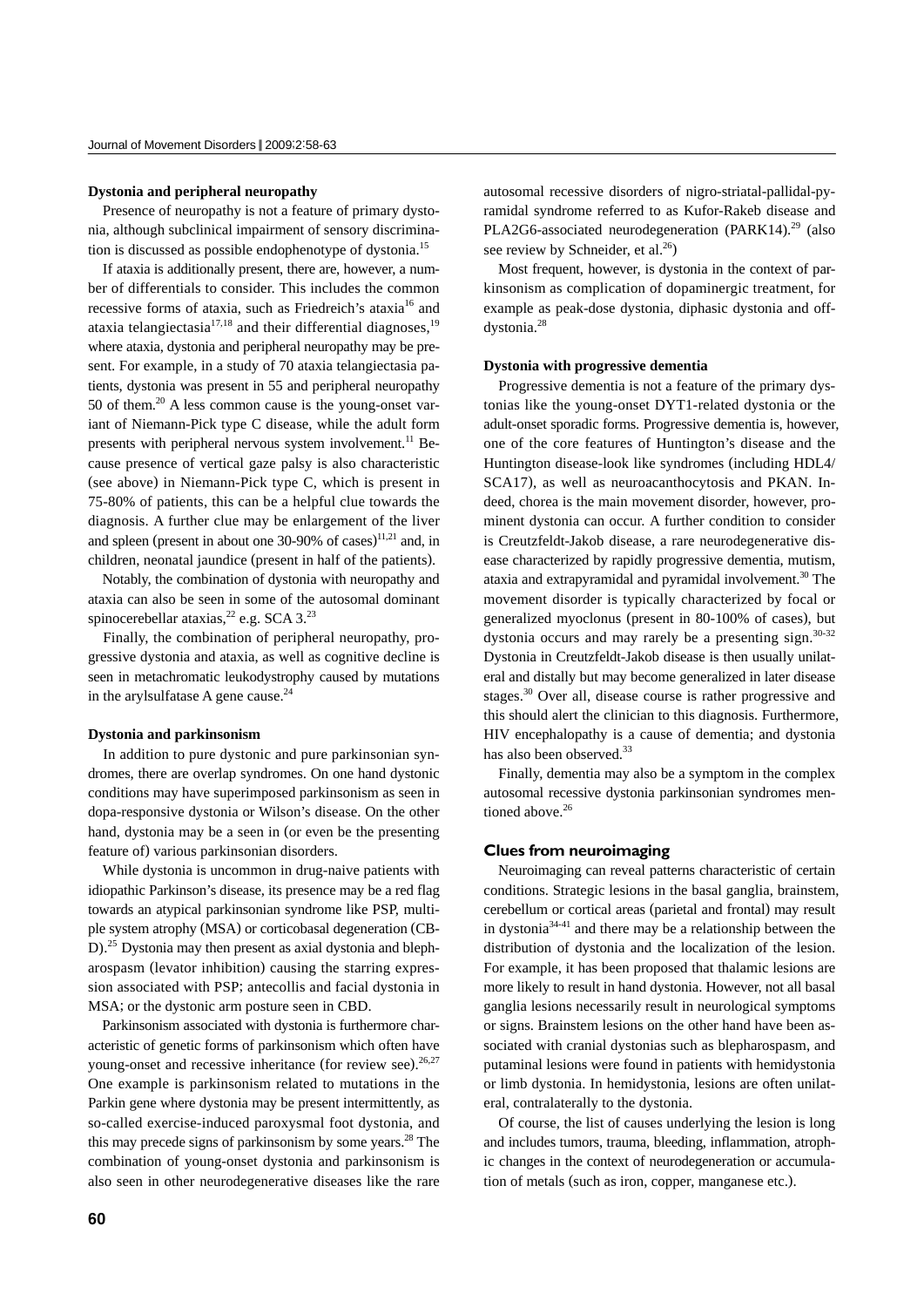#### **Dystonia and peripheral neuropathy**

Presence of neuropathy is not a feature of primary dystonia, although subclinical impairment of sensory discrimination is discussed as possible endophenotype of dystonia.15

If ataxia is additionally present, there are, however, a number of differentials to consider. This includes the common recessive forms of ataxia, such as Friedreich's ataxia<sup>16</sup> and ataxia telangiectasia $1^{7,18}$  and their differential diagnoses,  $1^{9}$ where ataxia, dystonia and peripheral neuropathy may be present. For example, in a study of 70 ataxia telangiectasia patients, dystonia was present in 55 and peripheral neuropathy 50 of them. $^{20}$  A less common cause is the young-onset variant of Niemann-Pick type C disease, while the adult form presents with peripheral nervous system involvement.<sup>11</sup> Because presence of vertical gaze palsy is also characteristic (see above) in Niemann-Pick type C, which is present in 75-80% of patients, this can be a helpful clue towards the diagnosis. A further clue may be enlargement of the liver and spleen (present in about one  $30-90\%$  of cases)<sup>11,21</sup> and, in children, neonatal jaundice (present in half of the patients).

Notably, the combination of dystonia with neuropathy and ataxia can also be seen in some of the autosomal dominant spinocerebellar ataxias,<sup>22</sup> e.g. SCA 3.<sup>23</sup>

Finally, the combination of peripheral neuropathy, progressive dystonia and ataxia, as well as cognitive decline is seen in metachromatic leukodystrophy caused by mutations in the aryl sulfatase A gene cause. $^{24}$ 

#### **Dystonia and parkinsonism**

In addition to pure dystonic and pure parkinsonian syndromes, there are overlap syndromes. On one hand dystonic conditions may have superimposed parkinsonism as seen in dopa-responsive dystonia or Wilson's disease. On the other hand, dystonia may be a seen in (or even be the presenting feature of) various parkinsonian disorders.

While dystonia is uncommon in drug-naive patients with idiopathic Parkinson's disease, its presence may be a red flag towards an atypical parkinsonian syndrome like PSP, multiple system atrophy (MSA) or corticobasal degeneration (CB-D).<sup>25</sup> Dystonia may then present as axial dystonia and blepharospasm (levator inhibition) causing the starring expression associated with PSP; antecollis and facial dystonia in MSA; or the dystonic arm posture seen in CBD.

Parkinsonism associated with dystonia is furthermore characteristic of genetic forms of parkinsonism which often have young-onset and recessive inheritance (for review see).  $26,27$ One example is parkinsonism related to mutations in the Parkin gene where dystonia may be present intermittently, as so-called exercise-induced paroxysmal foot dystonia, and this may precede signs of parkinsonism by some years.<sup>28</sup> The combination of young-onset dystonia and parkinsonism is also seen in other neurodegenerative diseases like the rare autosomal recessive disorders of nigro-striatal-pallidal-pyramidal syndrome referred to as Kufor-Rakeb disease and PLA2G6-associated neurodegeneration (PARK14).<sup>29</sup> (also see review by Schneider, et al. $^{26}$ )

Most frequent, however, is dystonia in the context of parkinsonism as complication of dopaminergic treatment, for example as peak-dose dystonia, diphasic dystonia and offdystonia.28

#### **Dystonia with progressive dementia**

Progressive dementia is not a feature of the primary dystonias like the young-onset DYT1-related dystonia or the adult-onset sporadic forms. Progressive dementia is, however, one of the core features of Huntington's disease and the Huntington disease-look like syndromes (including HDL4/ SCA17), as well as neuroacanthocytosis and PKAN. Indeed, chorea is the main movement disorder, however, prominent dystonia can occur. A further condition to consider is Creutzfeldt-Jakob disease, a rare neurodegenerative disease characterized by rapidly progressive dementia, mutism, ataxia and extrapyramidal and pyramidal involvement.30 The movement disorder is typically characterized by focal or generalized myoclonus (present in 80-100% of cases), but dystonia occurs and may rarely be a presenting sign. $30-32$ Dystonia in Creutzfeldt-Jakob disease is then usually unilateral and distally but may become generalized in later disease stages.30 Over all, disease course is rather progressive and this should alert the clinician to this diagnosis. Furthermore, HIV encephalopathy is a cause of dementia; and dystonia has also been observed.<sup>33</sup>

Finally, dementia may also be a symptom in the complex autosomal recessive dystonia parkinsonian syndromes mentioned above.<sup>26</sup>

#### **Clues from neuroimaging**

Neuroimaging can reveal patterns characteristic of certain conditions. Strategic lesions in the basal ganglia, brainstem, cerebellum or cortical areas (parietal and frontal) may result in dystonia<sup>34-41</sup> and there may be a relationship between the distribution of dystonia and the localization of the lesion. For example, it has been proposed that thalamic lesions are more likely to result in hand dystonia. However, not all basal ganglia lesions necessarily result in neurological symptoms or signs. Brainstem lesions on the other hand have been associated with cranial dystonias such as blepharospasm, and putaminal lesions were found in patients with hemidystonia or limb dystonia. In hemidystonia, lesions are often unilateral, contralaterally to the dystonia.

Of course, the list of causes underlying the lesion is long and includes tumors, trauma, bleeding, inflammation, atrophic changes in the context of neurodegeneration or accumulation of metals (such as iron, copper, manganese etc.).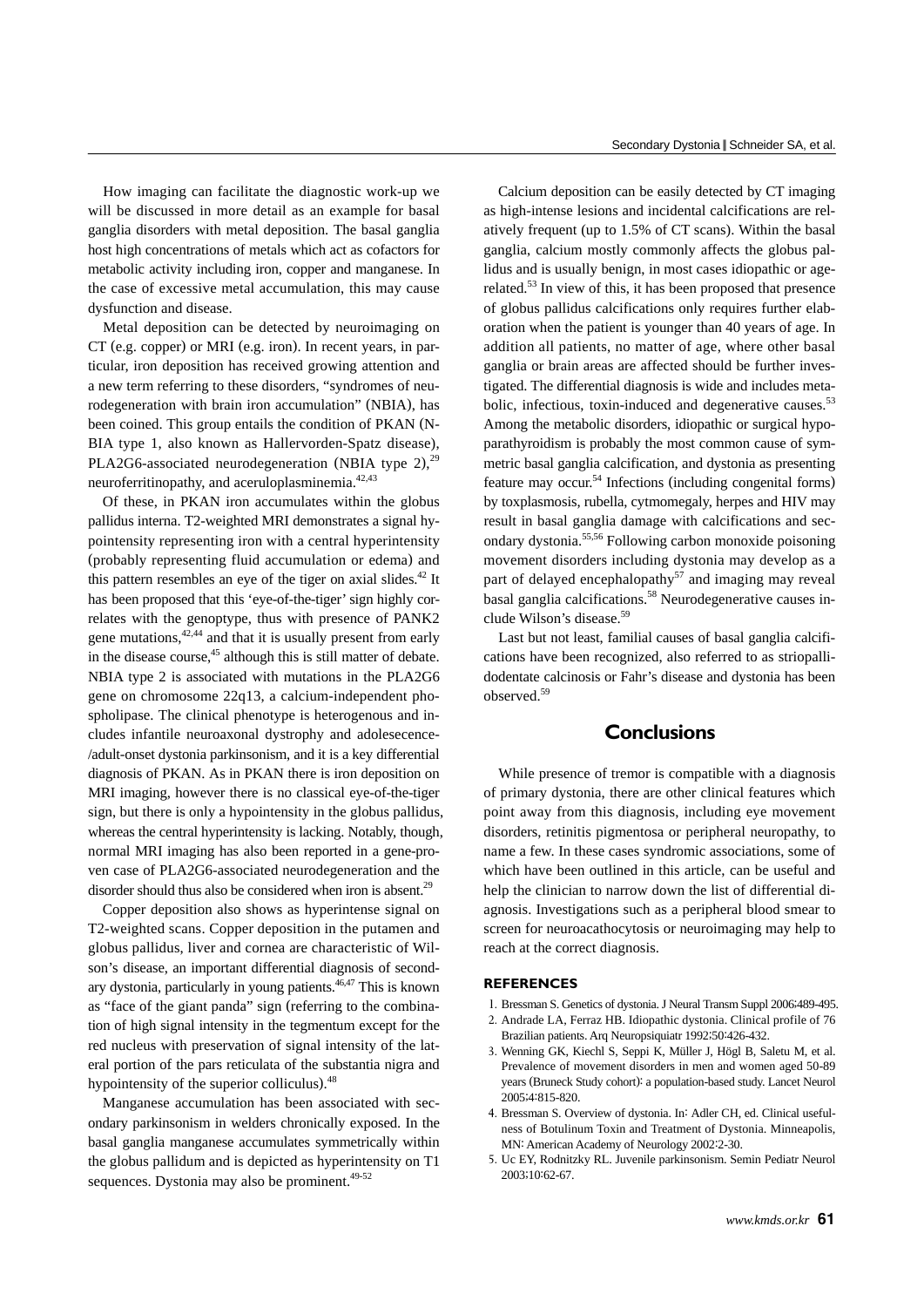How imaging can facilitate the diagnostic work-up we will be discussed in more detail as an example for basal ganglia disorders with metal deposition. The basal ganglia host high concentrations of metals which act as cofactors for metabolic activity including iron, copper and manganese. In the case of excessive metal accumulation, this may cause dysfunction and disease.

Metal deposition can be detected by neuroimaging on CT (e.g. copper) or MRI (e.g. iron). In recent years, in particular, iron deposition has received growing attention and a new term referring to these disorders, "syndromes of neurodegeneration with brain iron accumulation" (NBIA), has been coined. This group entails the condition of PKAN (N-BIA type 1, also known as Hallervorden-Spatz disease), PLA2G6-associated neurodegeneration (NBIA type 2),<sup>29</sup> neuroferritinopathy, and aceruloplasminemia.<sup>42,43</sup>

Of these, in PKAN iron accumulates within the globus pallidus interna. T2-weighted MRI demonstrates a signal hypointensity representing iron with a central hyperintensity (probably representing fluid accumulation or edema) and this pattern resembles an eye of the tiger on axial slides. $42$  It has been proposed that this 'eye-of-the-tiger' sign highly correlates with the genoptype, thus with presence of PANK2 gene mutations, $42,44$  and that it is usually present from early in the disease course,<sup>45</sup> although this is still matter of debate. NBIA type 2 is associated with mutations in the PLA2G6 gene on chromosome 22q13, a calcium-independent phospholipase. The clinical phenotype is heterogenous and includes infantile neuroaxonal dystrophy and adolesecence- /adult-onset dystonia parkinsonism, and it is a key differential diagnosis of PKAN. As in PKAN there is iron deposition on MRI imaging, however there is no classical eye-of-the-tiger sign, but there is only a hypointensity in the globus pallidus, whereas the central hyperintensity is lacking. Notably, though, normal MRI imaging has also been reported in a gene-proven case of PLA2G6-associated neurodegeneration and the disorder should thus also be considered when iron is absent.<sup>29</sup>

Copper deposition also shows as hyperintense signal on T2-weighted scans. Copper deposition in the putamen and globus pallidus, liver and cornea are characteristic of Wilson's disease, an important differential diagnosis of secondary dystonia, particularly in young patients.46,47 This is known as "face of the giant panda" sign (referring to the combination of high signal intensity in the tegmentum except for the red nucleus with preservation of signal intensity of the lateral portion of the pars reticulata of the substantia nigra and hypointensity of the superior colliculus).<sup>48</sup>

Manganese accumulation has been associated with secondary parkinsonism in welders chronically exposed. In the basal ganglia manganese accumulates symmetrically within the globus pallidum and is depicted as hyperintensity on T1 sequences. Dystonia may also be prominent. $49-52$ 

Calcium deposition can be easily detected by CT imaging as high-intense lesions and incidental calcifications are relatively frequent (up to 1.5% of CT scans). Within the basal ganglia, calcium mostly commonly affects the globus pallidus and is usually benign, in most cases idiopathic or agerelated.53 In view of this, it has been proposed that presence of globus pallidus calcifications only requires further elaboration when the patient is younger than 40 years of age. In addition all patients, no matter of age, where other basal ganglia or brain areas are affected should be further investigated. The differential diagnosis is wide and includes metabolic, infectious, toxin-induced and degenerative causes.<sup>53</sup> Among the metabolic disorders, idiopathic or surgical hypoparathyroidism is probably the most common cause of symmetric basal ganglia calcification, and dystonia as presenting feature may occur.54 Infections (including congenital forms) by toxplasmosis, rubella, cytmomegaly, herpes and HIV may result in basal ganglia damage with calcifications and secondary dystonia.55,56 Following carbon monoxide poisoning movement disorders including dystonia may develop as a part of delayed encephalopathy<sup>57</sup> and imaging may reveal basal ganglia calcifications.<sup>58</sup> Neurodegenerative causes include Wilson's disease.<sup>59</sup>

Last but not least, familial causes of basal ganglia calcifications have been recognized, also referred to as striopallidodentate calcinosis or Fahr's disease and dystonia has been observed.<sup>59</sup>

# **Conclusions**

While presence of tremor is compatible with a diagnosis of primary dystonia, there are other clinical features which point away from this diagnosis, including eye movement disorders, retinitis pigmentosa or peripheral neuropathy, to name a few. In these cases syndromic associations, some of which have been outlined in this article, can be useful and help the clinician to narrow down the list of differential diagnosis. Investigations such as a peripheral blood smear to screen for neuroacathocytosis or neuroimaging may help to reach at the correct diagnosis.

#### **REFERENCES**

- 1. Bressman S. Genetics of dystonia. J Neural Transm Suppl 2006;489-495.
- 2. Andrade LA, Ferraz HB. Idiopathic dystonia. Clinical profile of 76 Brazilian patients. Arq Neuropsiquiatr 1992;50:426-432.
- 3. Wenning GK, Kiechl S, Seppi K, Müller J, Högl B, Saletu M, et al. Prevalence of movement disorders in men and women aged 50-89 years (Bruneck Study cohort): a population-based study. Lancet Neurol 2005;4:815-820.
- 4. Bressman S. Overview of dystonia. In: Adler CH, ed. Clinical usefulness of Botulinum Toxin and Treatment of Dystonia. Minneapolis, MN: American Academy of Neurology 2002:2-30.
- 5. Uc EY, Rodnitzky RL. Juvenile parkinsonism. Semin Pediatr Neurol 2003;10:62-67.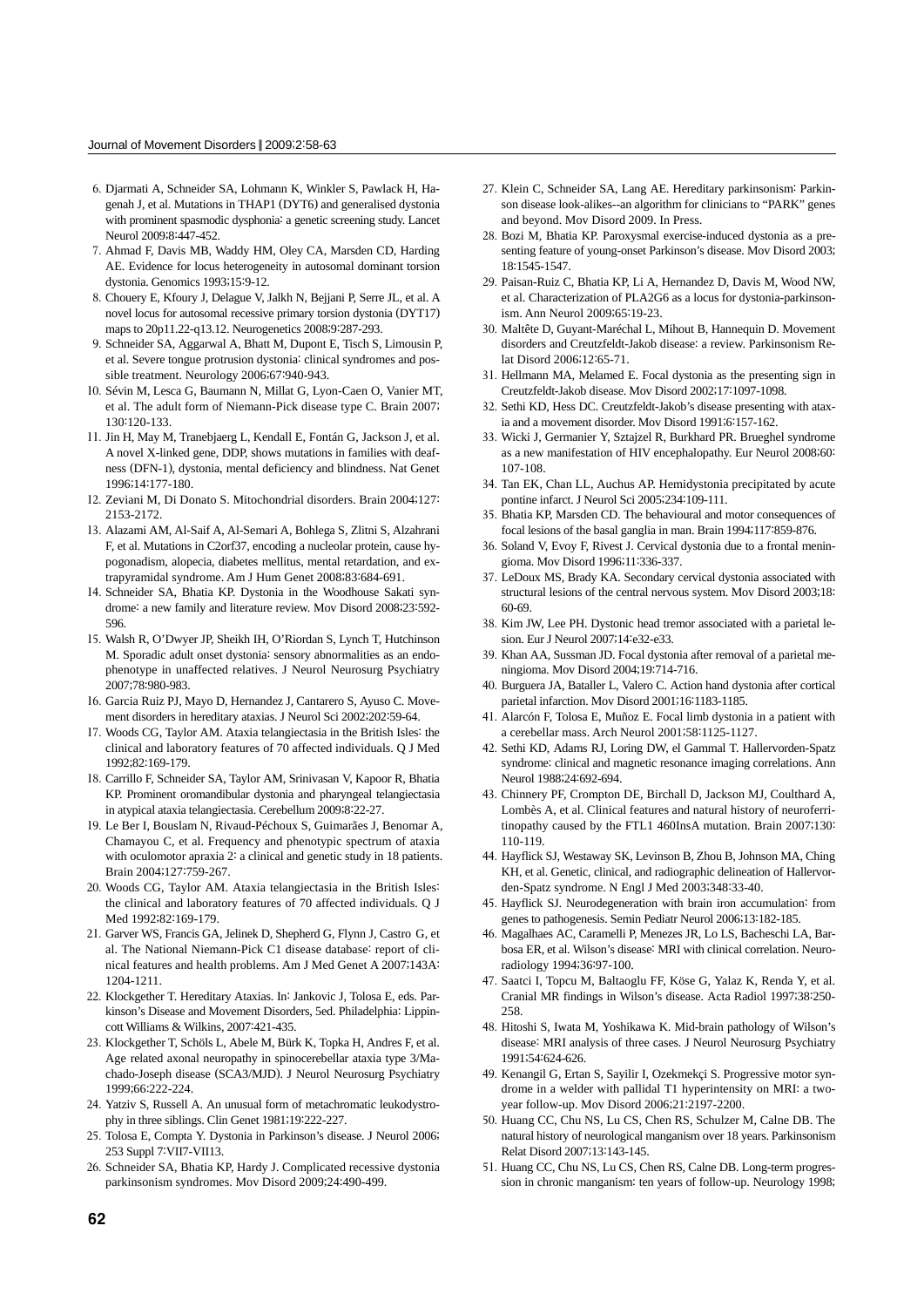- 6. Djarmati A, Schneider SA, Lohmann K, Winkler S, Pawlack H, Hagenah J, et al. Mutations in THAP1 (DYT6) and generalised dystonia with prominent spasmodic dysphonia: a genetic screening study. Lancet Neurol 2009;8:447-452.
- 7. Ahmad F, Davis MB, Waddy HM, Oley CA, Marsden CD, Harding AE. Evidence for locus heterogeneity in autosomal dominant torsion dystonia. Genomics 1993;15:9-12.
- 8. Chouery E, Kfoury J, Delague V, Jalkh N, Bejjani P, Serre JL, et al. A novel locus for autosomal recessive primary torsion dystonia (DYT17) maps to 20p11.22-q13.12. Neurogenetics 2008;9:287-293.
- 9. Schneider SA, Aggarwal A, Bhatt M, Dupont E, Tisch S, Limousin P, et al. Severe tongue protrusion dystonia: clinical syndromes and possible treatment. Neurology 2006;67:940-943.
- 10. Sévin M, Lesca G, Baumann N, Millat G, Lyon-Caen O, Vanier MT, et al. The adult form of Niemann-Pick disease type C. Brain 2007; 130:120-133.
- 11. Jin H, May M, Tranebjaerg L, Kendall E, Fontán G, Jackson J, et al. A novel X-linked gene, DDP, shows mutations in families with deafness (DFN-1), dystonia, mental deficiency and blindness. Nat Genet 1996;14:177-180.
- 12. Zeviani M, Di Donato S. Mitochondrial disorders. Brain 2004;127: 2153-2172.
- 13. Alazami AM, Al-Saif A, Al-Semari A, Bohlega S, Zlitni S, Alzahrani F, et al. Mutations in C2orf37, encoding a nucleolar protein, cause hypogonadism, alopecia, diabetes mellitus, mental retardation, and extrapyramidal syndrome. Am J Hum Genet 2008;83:684-691.
- 14. Schneider SA, Bhatia KP. Dystonia in the Woodhouse Sakati syndrome: a new family and literature review. Mov Disord 2008;23:592- 596.
- 15. Walsh R, O'Dwyer JP, Sheikh IH, O'Riordan S, Lynch T, Hutchinson M. Sporadic adult onset dystonia: sensory abnormalities as an endophenotype in unaffected relatives. J Neurol Neurosurg Psychiatry 2007;78:980-983.
- 16. Garcia Ruiz PJ, Mayo D, Hernandez J, Cantarero S, Ayuso C. Movement disorders in hereditary ataxias. J Neurol Sci 2002;202:59-64.
- 17. Woods CG, Taylor AM. Ataxia telangiectasia in the British Isles: the clinical and laboratory features of 70 affected individuals. Q J Med 1992;82:169-179.
- 18. Carrillo F, Schneider SA, Taylor AM, Srinivasan V, Kapoor R, Bhatia KP. Prominent oromandibular dystonia and pharyngeal telangiectasia in atypical ataxia telangiectasia. Cerebellum 2009;8:22-27.
- 19. Le Ber I, Bouslam N, Rivaud-Péchoux S, Guimarães J, Benomar A, Chamayou C, et al. Frequency and phenotypic spectrum of ataxia with oculomotor apraxia 2: a clinical and genetic study in 18 patients. Brain 2004;127:759-267.
- 20. Woods CG, Taylor AM. Ataxia telangiectasia in the British Isles: the clinical and laboratory features of 70 affected individuals. Q J Med 1992;82:169-179.
- 21. Garver WS, Francis GA, Jelinek D, Shepherd G, Flynn J, Castro G, et al. The National Niemann-Pick C1 disease database: report of clinical features and health problems. Am J Med Genet A 2007;143A: 1204-1211.
- 22. Klockgether T. Hereditary Ataxias. In: Jankovic J, Tolosa E, eds. Parkinson's Disease and Movement Disorders, 5ed. Philadelphia: Lippincott Williams & Wilkins, 2007:421-435.
- 23. Klockgether T, Schöls L, Abele M, Bürk K, Topka H, Andres F, et al. Age related axonal neuropathy in spinocerebellar ataxia type 3/Machado-Joseph disease (SCA3/MJD). J Neurol Neurosurg Psychiatry 1999;66:222-224.
- 24. Yatziv S, Russell A. An unusual form of metachromatic leukodystrophy in three siblings. Clin Genet 1981;19:222-227.
- 25. Tolosa E, Compta Y. Dystonia in Parkinson's disease. J Neurol 2006; 253 Suppl 7:VII7-VII13.
- 26. Schneider SA, Bhatia KP, Hardy J. Complicated recessive dystonia parkinsonism syndromes. Mov Disord 2009;24:490-499.
- 27. Klein C, Schneider SA, Lang AE. Hereditary parkinsonism: Parkinson disease look-alikes--an algorithm for clinicians to "PARK" genes and beyond. Mov Disord 2009. In Press.
- 28. Bozi M, Bhatia KP. Paroxysmal exercise-induced dystonia as a presenting feature of young-onset Parkinson's disease. Mov Disord 2003; 18:1545-1547.
- 29. Paisan-Ruiz C, Bhatia KP, Li A, Hernandez D, Davis M, Wood NW, et al. Characterization of PLA2G6 as a locus for dystonia-parkinsonism. Ann Neurol 2009;65:19-23.
- 30. Maltête D, Guyant-Maréchal L, Mihout B, Hannequin D. Movement disorders and Creutzfeldt-Jakob disease: a review. Parkinsonism Relat Disord 2006;12:65-71.
- 31. Hellmann MA, Melamed E. Focal dystonia as the presenting sign in Creutzfeldt-Jakob disease. Mov Disord 2002;17:1097-1098.
- 32. Sethi KD, Hess DC. Creutzfeldt-Jakob's disease presenting with ataxia and a movement disorder. Mov Disord 1991;6:157-162.
- 33. Wicki J, Germanier Y, Sztajzel R, Burkhard PR. Brueghel syndrome as a new manifestation of HIV encephalopathy. Eur Neurol 2008;60: 107-108.
- 34. Tan EK, Chan LL, Auchus AP. Hemidystonia precipitated by acute pontine infarct. J Neurol Sci 2005;234:109-111.
- 35. Bhatia KP, Marsden CD. The behavioural and motor consequences of focal lesions of the basal ganglia in man. Brain 1994;117:859-876.
- 36. Soland V, Evoy F, Rivest J. Cervical dystonia due to a frontal meningioma. Mov Disord 1996;11:336-337.
- 37. LeDoux MS, Brady KA. Secondary cervical dystonia associated with structural lesions of the central nervous system. Mov Disord 2003;18: 60-69.
- 38. Kim JW, Lee PH. Dystonic head tremor associated with a parietal lesion. Eur J Neurol 2007;14:e32-e33.
- 39. Khan AA, Sussman JD. Focal dystonia after removal of a parietal meningioma. Mov Disord 2004;19:714-716.
- 40. Burguera JA, Bataller L, Valero C. Action hand dystonia after cortical parietal infarction. Mov Disord 2001;16:1183-1185.
- 41. Alarcón F, Tolosa E, Muñoz E. Focal limb dystonia in a patient with a cerebellar mass. Arch Neurol 2001;58:1125-1127.
- 42. Sethi KD, Adams RJ, Loring DW, el Gammal T. Hallervorden-Spatz syndrome: clinical and magnetic resonance imaging correlations. Ann Neurol 1988;24:692-694.
- 43. Chinnery PF, Crompton DE, Birchall D, Jackson MJ, Coulthard A, Lombès A, et al. Clinical features and natural history of neuroferritinopathy caused by the FTL1 460InsA mutation. Brain 2007;130: 110-119.
- 44. Hayflick SJ, Westaway SK, Levinson B, Zhou B, Johnson MA, Ching KH, et al. Genetic, clinical, and radiographic delineation of Hallervorden-Spatz syndrome. N Engl J Med 2003;348:33-40.
- 45. Hayflick SJ. Neurodegeneration with brain iron accumulation: from genes to pathogenesis. Semin Pediatr Neurol 2006;13:182-185.
- 46. Magalhaes AC, Caramelli P, Menezes JR, Lo LS, Bacheschi LA, Barbosa ER, et al. Wilson's disease: MRI with clinical correlation. Neuroradiology 1994;36:97-100.
- 47. Saatci I, Topcu M, Baltaoglu FF, Köse G, Yalaz K, Renda Y, et al. Cranial MR findings in Wilson's disease. Acta Radiol 1997;38:250- 258.
- 48. Hitoshi S, Iwata M, Yoshikawa K. Mid-brain pathology of Wilson's disease: MRI analysis of three cases. J Neurol Neurosurg Psychiatry 1991;54:624-626.
- 49. Kenangil G, Ertan S, Sayilir I, Ozekmekçi S. Progressive motor syndrome in a welder with pallidal T1 hyperintensity on MRI: a twoyear follow-up. Mov Disord 2006;21:2197-2200.
- 50. Huang CC, Chu NS, Lu CS, Chen RS, Schulzer M, Calne DB. The natural history of neurological manganism over 18 years. Parkinsonism Relat Disord 2007;13:143-145.
- 51. Huang CC, Chu NS, Lu CS, Chen RS, Calne DB. Long-term progression in chronic manganism: ten years of follow-up. Neurology 1998;